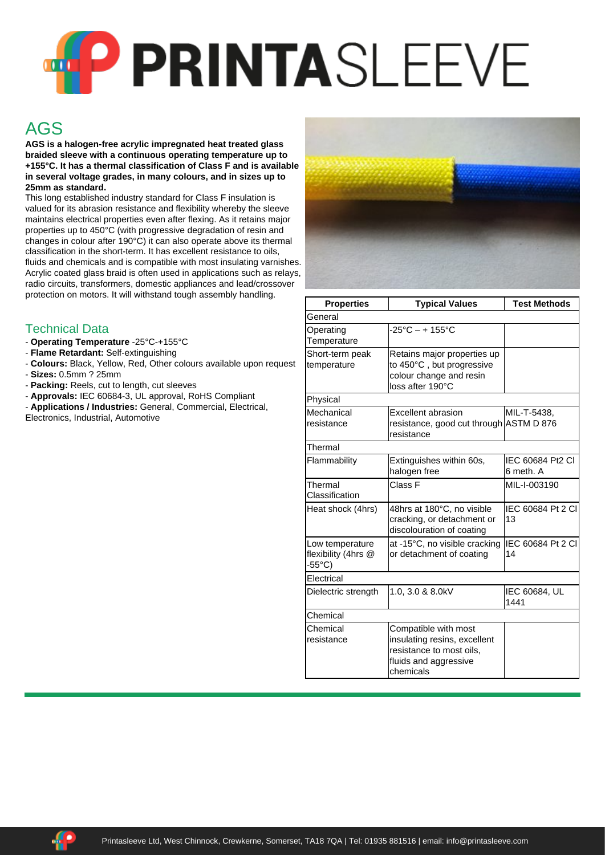## **PP PRINTA**SLEEVE

## AGS

**AGS is a halogen-free acrylic impregnated heat treated glass braided sleeve with a continuous operating temperature up to +155°C. It has a thermal classification of Class F and is available in several voltage grades, in many colours, and in sizes up to 25mm as standard.**

This long established industry standard for Class F insulation is valued for its abrasion resistance and flexibility whereby the sleeve maintains electrical properties even after flexing. As it retains major properties up to 450°C (with progressive degradation of resin and changes in colour after 190°C) it can also operate above its thermal classification in the short-term. It has excellent resistance to oils, fluids and chemicals and is compatible with most insulating varnishes. Acrylic coated glass braid is often used in applications such as relays, radio circuits, transformers, domestic appliances and lead/crossover protection on motors. It will withstand tough assembly handling.

## Technical Data

- **Operating Temperature** -25°C-+155°C
- **Flame Retardant:** Self-extinguishing
- **Colours:** Black, Yellow, Red, Other colours available upon request - **Sizes:** 0.5mm ? 25mm
- **Packing:** Reels, cut to length, cut sleeves
- **Approvals:** IEC 60684-3, UL approval, RoHS Compliant
- **Applications / Industries:** General, Commercial, Electrical, Electronics, Industrial, Automotive



| <b>Properties</b>                                | <b>Typical Values</b>                                                                                                  | <b>Test Methods</b>           |
|--------------------------------------------------|------------------------------------------------------------------------------------------------------------------------|-------------------------------|
| General                                          |                                                                                                                        |                               |
| Operating<br>Temperature                         | $-25^{\circ}$ C – + 155 $^{\circ}$ C                                                                                   |                               |
| Short-term peak<br>temperature                   | Retains major properties up<br>to 450°C, but progressive<br>colour change and resin<br>loss after 190°C                |                               |
| Physical                                         |                                                                                                                        |                               |
| Mechanical<br>resistance                         | Excellent abrasion<br>resistance, good cut through ASTM D 876<br>resistance                                            | MIL-T-5438.                   |
| Thermal                                          |                                                                                                                        |                               |
| Flammability                                     | Extinguishes within 60s,<br>halogen free                                                                               | IEC 60684 Pt2 CI<br>6 meth. A |
| Thermal<br>Classification                        | Class F                                                                                                                | MIL-I-003190                  |
| Heat shock (4hrs)                                | 48hrs at 180°C, no visible<br>cracking, or detachment or<br>discolouration of coating                                  | IEC 60684 Pt 2 CI<br>13       |
| Low temperature<br>flexibility (4hrs @<br>-55°C) | at -15°C, no visible cracking<br>or detachment of coating                                                              | IEC 60684 Pt 2 CI<br>14       |
| Electrical                                       |                                                                                                                        |                               |
| Dielectric strength                              | 1.0, 3.0 & 8.0kV                                                                                                       | IEC 60684, UL<br>1441         |
| Chemical                                         |                                                                                                                        |                               |
| Chemical<br>resistance                           | Compatible with most<br>insulating resins, excellent<br>resistance to most oils,<br>fluids and aggressive<br>chemicals |                               |